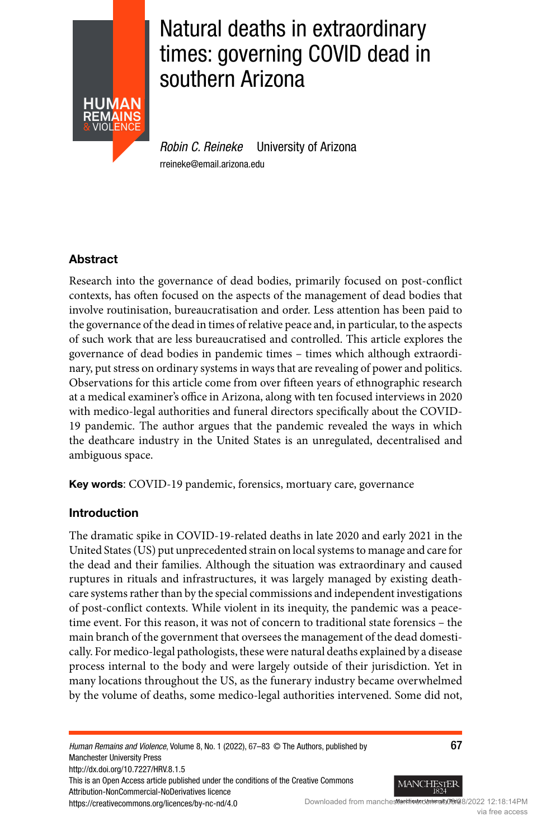<span id="page-0-0"></span>

# Natural deaths in extraordinary times: governing COVID dead in southern Arizona

Robin C. Reineke University of Arizona rreineke@email.arizona.edu

# **Abstract**

Research into the governance of dead bodies, primarily focused on post-conflict contexts, has often focused on the aspects of the management of dead bodies that involve routinisation, bureaucratisation and order. Less attention has been paid to the governance of the dead in times of relative peace and, in particular, to the aspects of such work that are less bureaucratised and controlled. This article explores the governance of dead bodies in pandemic times – times which although extraordinary, put stress on ordinary systems in ways that are revealing of power and politics. Observations for this article come from over fifteen years of ethnographic research at a medical examiner's office in Arizona, along with ten focused interviews in 2020 with medico-legal authorities and funeral directors specifically about the COVID-19 pandemic. The author argues that the pandemic revealed the ways in which the deathcare industry in the United States is an unregulated, decentralised and ambiguous space.

Key words: COVID-19 pandemic, forensics, mortuary care, governance

# Introduction

The dramatic spike in COVID-19-related deaths in late 2020 and early 2021 in the United States (US) put unprecedented strain on local systems to manage and care for the dead and their families. Although the situation was extraordinary and caused ruptures in rituals and infrastructures, it was largely managed by existing deathcare systems rather than by the special commissions and independent investigations of post-conflict contexts. While violent in its inequity, the pandemic was a peacetime event. For this reason, it was not of concern to traditional state forensics – the main branch of the government that oversees the management of the dead domestically. For medico-legal pathologists, these were natural deaths explained by a disease process internal to the body and were largely outside of their jurisdiction. Yet in many locations throughout the US, as the funerary industry became overwhelmed by the volume of deaths, some medico-legal authorities intervened. Some did not,

Human Remains and Violence, Volume 8, No. 1 (2022), 67-83  $\odot$  The Authors, published by 67 Manchester University Press http://dx.doi.org/10.7227/HRV.8.1.5 This is an Open Access article published under the conditions of the Creative Commons Attribution-NonCommercial-NoDerivatives licence https://creativecommons.org/licences/by-nc-nd/4.0 Downloaded from manchesterhivesethives@8/2022 12:18:14PM



via free access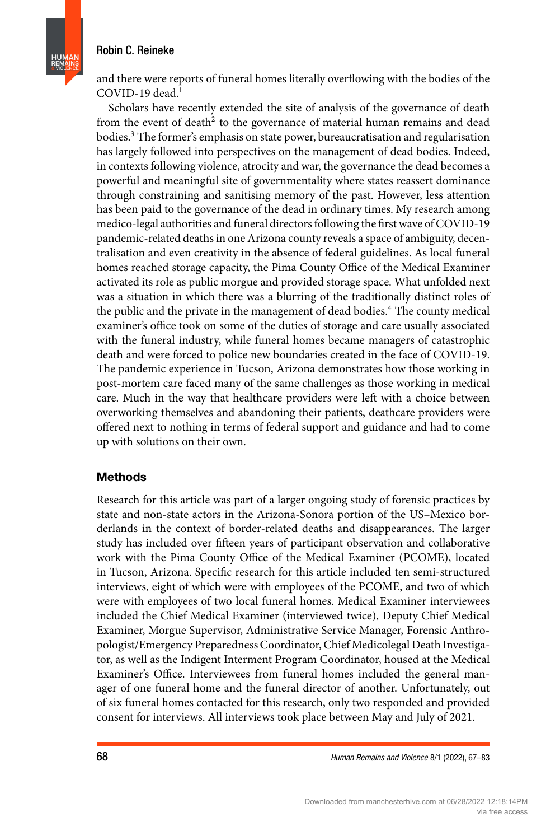**HUMAN REMAINS** & VIOLENCE



Scholars have recently extended the site of analysis of the governance of death from the event of death $^2$  to the governance of material human remains and dead bodies.<sup>3</sup> The former's emphasis on state power, bureaucratisation and regularisation has largely followed into perspectives on the management of dead bodies. Indeed, in contexts following violence, atrocity and war, the governance the dead becomes a powerful and meaningful site of governmentality where states reassert dominance through constraining and sanitising memory of the past. However, less attention has been paid to the governance of the dead in ordinary times. My research among medico-legal authorities and funeral directors following the first wave of COVID-19 pandemic-related deaths in one Arizona county reveals a space of ambiguity, decentralisation and even creativity in the absence of federal guidelines. As local funeral homes reached storage capacity, the Pima County Office of the Medical Examiner activated its role as public morgue and provided storage space. What unfolded next was a situation in which there was a blurring of the traditionally distinct roles of the public and the private in the management of dead bodies.<sup>4</sup> The county medical examiner's office took on some of the duties of storage and care usually associated with the funeral industry, while funeral homes became managers of catastrophic death and were forced to police new boundaries created in the face of COVID-19. The pandemic experience in Tucson, Arizona demonstrates how those working in post-mortem care faced many of the same challenges as those working in medical care. Much in the way that healthcare providers were left with a choice between overworking themselves and abandoning their patients, deathcare providers were offered next to nothing in terms of federal support and guidance and had to come up with solutions on their own.

## **Methods**

Research for this article was part of a larger ongoing study of forensic practices by state and non-state actors in the Arizona-Sonora portion of the US–Mexico borderlands in the context of border-related deaths and disappearances. The larger study has included over fifteen years of participant observation and collaborative work with the Pima County Office of the Medical Examiner (PCOME), located in Tucson, Arizona. Specific research for this article included ten semi-structured interviews, eight of which were with employees of the PCOME, and two of which were with employees of two local funeral homes. Medical Examiner interviewees included the Chief Medical Examiner (interviewed twice), Deputy Chief Medical Examiner, Morgue Supervisor, Administrative Service Manager, Forensic Anthropologist/Emergency Preparedness Coordinator, Chief Medicolegal Death Investigator, as well as the Indigent Interment Program Coordinator, housed at the Medical Examiner's Office. Interviewees from funeral homes included the general manager of one funeral home and the funeral director of another. Unfortunately, out of six funeral homes contacted for this research, only two responded and provided consent for interviews. All interviews took place between May and July of 2021.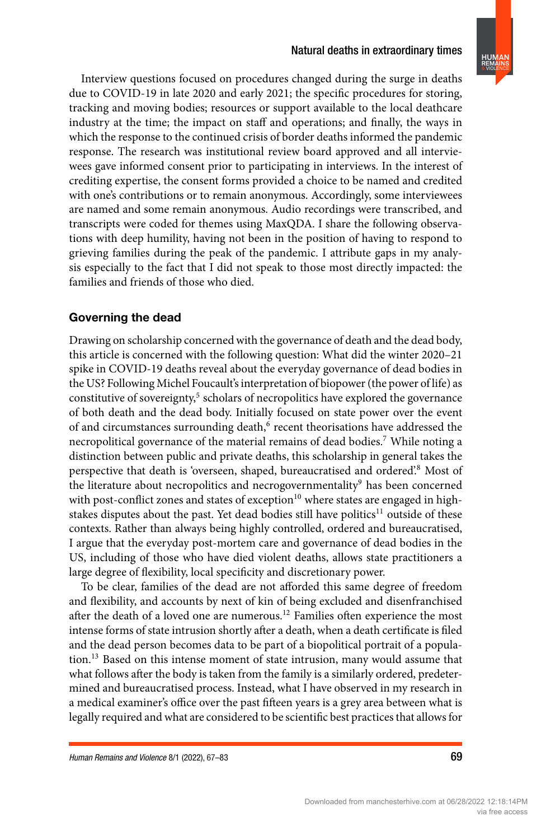

Interview questions focused on procedures changed during the surge in deaths due to COVID-19 in late 2020 and early 2021; the specific procedures for storing, tracking and moving bodies; resources or support available to the local deathcare industry at the time; the impact on staff and operations; and finally, the ways in which the response to the continued crisis of border deaths informed the pandemic response. The research was institutional review board approved and all interviewees gave informed consent prior to participating in interviews. In the interest of crediting expertise, the consent forms provided a choice to be named and credited with one's contributions or to remain anonymous. Accordingly, some interviewees are named and some remain anonymous. Audio recordings were transcribed, and transcripts were coded for themes using MaxQDA. I share the following observations with deep humility, having not been in the position of having to respond to grieving families during the peak of the pandemic. I attribute gaps in my analysis especially to the fact that I did not speak to those most directly impacted: the families and friends of those who died.

# Governing the dead

Drawing on scholarship concerned with the governance of death and the dead body, this article is concerned with the following question: What did the winter 2020–21 spike in COVID-19 deaths reveal about the everyday governance of dead bodies in the US? Following Michel Foucault's interpretation of biopower (the power of life) as constitutive of sovereignty,<sup>5</sup> scholars of necropolitics have explored the governance of both death and the dead body. Initially focused on state power over the event of and circumstances surrounding death, $^6$  recent theorisations have addressed the necropolitical governance of the material remains of dead bodies.<sup>7</sup> While noting a distinction between public and private deaths, this scholarship in general takes the perspective that death is 'overseen, shaped, bureaucratised and ordered'.<sup>8</sup> Most of the literature about necropolitics and necrogovernmentality<sup>9</sup> has been concerned with post-conflict zones and states of exception<sup>10</sup> where states are engaged in highstakes disputes about the past. Yet dead bodies still have politics $11$  outside of these contexts. Rather than always being highly controlled, ordered and bureaucratised, I argue that the everyday post-mortem care and governance of dead bodies in the US, including of those who have died violent deaths, allows state practitioners a large degree of flexibility, local specificity and discretionary power.

To be clear, families of the dead are not afforded this same degree of freedom and flexibility, and accounts by next of kin of being excluded and disenfranchised after the death of a loved one are numerous.<sup>12</sup> Families often experience the most intense forms of state intrusion shortly after a death, when a death certificate is filed and the dead person becomes data to be part of a biopolitical portrait of a population.<sup>13</sup> Based on this intense moment of state intrusion, many would assume that what follows after the body is taken from the family is a similarly ordered, predetermined and bureaucratised process. Instead, what I have observed in my research in a medical examiner's office over the past fifteen years is a grey area between what is legally required and what are considered to be scientific best practices that allows for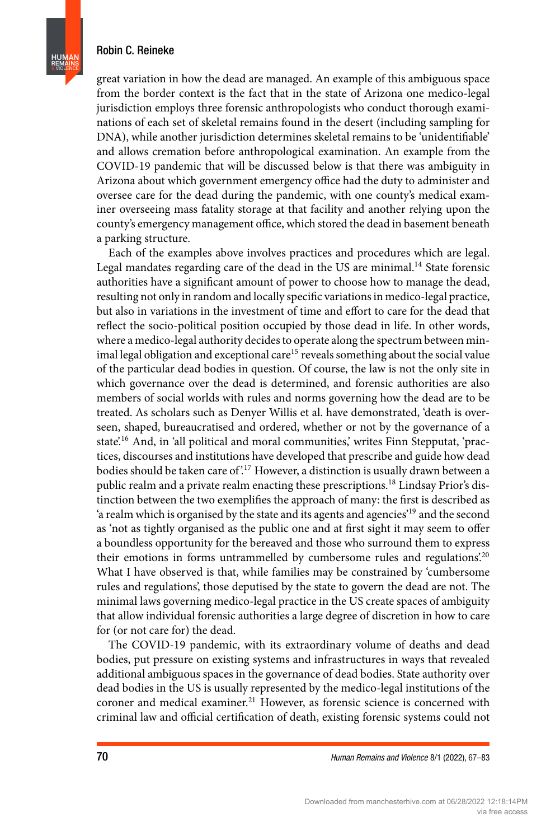

great variation in how the dead are managed. An example of this ambiguous space from the border context is the fact that in the state of Arizona one medico-legal jurisdiction employs three forensic anthropologists who conduct thorough examinations of each set of skeletal remains found in the desert (including sampling for DNA), while another jurisdiction determines skeletal remains to be 'unidentifiable' and allows cremation before anthropological examination. An example from the COVID-19 pandemic that will be discussed below is that there was ambiguity in Arizona about which government emergency office had the duty to administer and oversee care for the dead during the pandemic, with one county's medical examiner overseeing mass fatality storage at that facility and another relying upon the county's emergency management office, which stored the dead in basement beneath a parking structure.

Each of the examples above involves practices and procedures which are legal. Legal mandates regarding care of the dead in the US are minimal.<sup>14</sup> State forensic authorities have a significant amount of power to choose how to manage the dead, resulting not only in random and locally specific variations in medico-legal practice, but also in variations in the investment of time and effort to care for the dead that reflect the socio-political position occupied by those dead in life. In other words, where a medico-legal authority decides to operate along the spectrum between minimal legal obligation and exceptional care<sup>15</sup> reveals something about the social value of the particular dead bodies in question. Of course, the law is not the only site in which governance over the dead is determined, and forensic authorities are also members of social worlds with rules and norms governing how the dead are to be treated. As scholars such as Denyer Willis et al. have demonstrated, 'death is overseen, shaped, bureaucratised and ordered, whether or not by the governance of a state.<sup>16</sup> And, in 'all political and moral communities,' writes Finn Stepputat, 'practices, discourses and institutions have developed that prescribe and guide how dead bodies should be taken care of.<sup>17</sup> However, a distinction is usually drawn between a public realm and a private realm enacting these prescriptions.<sup>18</sup> Lindsay Prior's distinction between the two exemplifies the approach of many: the first is described as 'a realm which is organised by the state and its agents and agencies'<sup>19</sup> and the second as 'not as tightly organised as the public one and at first sight it may seem to offer a boundless opportunity for the bereaved and those who surround them to express their emotions in forms untrammelled by cumbersome rules and regulations.<sup>20</sup> What I have observed is that, while families may be constrained by 'cumbersome rules and regulations', those deputised by the state to govern the dead are not. The minimal laws governing medico-legal practice in the US create spaces of ambiguity that allow individual forensic authorities a large degree of discretion in how to care for (or not care for) the dead.

The COVID-19 pandemic, with its extraordinary volume of deaths and dead bodies, put pressure on existing systems and infrastructures in ways that revealed additional ambiguous spaces in the governance of dead bodies. State authority over dead bodies in the US is usually represented by the medico-legal institutions of the coroner and medical examiner.<sup>21</sup> However, as forensic science is concerned with criminal law and official certification of death, existing forensic systems could not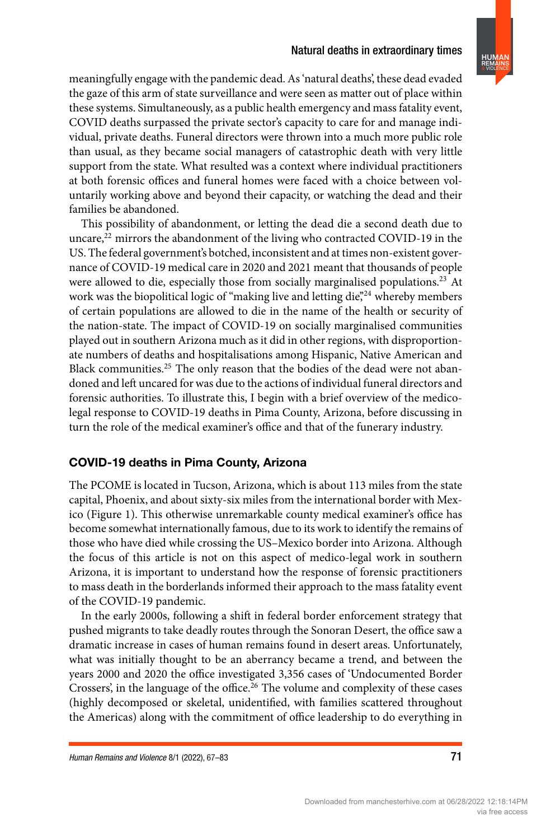

meaningfully engage with the pandemic dead. As 'natural deaths', these dead evaded the gaze of this arm of state surveillance and were seen as matter out of place within these systems. Simultaneously, as a public health emergency and mass fatality event, COVID deaths surpassed the private sector's capacity to care for and manage individual, private deaths. Funeral directors were thrown into a much more public role than usual, as they became social managers of catastrophic death with very little support from the state. What resulted was a context where individual practitioners at both forensic offices and funeral homes were faced with a choice between voluntarily working above and beyond their capacity, or watching the dead and their families be abandoned.

This possibility of abandonment, or letting the dead die a second death due to uncare, $^{22}$  mirrors the abandonment of the living who contracted COVID-19 in the US. The federal government's botched, inconsistent and at times non-existent governance of COVID-19 medical care in 2020 and 2021 meant that thousands of people were allowed to die, especially those from socially marginalised populations.<sup>23</sup> At work was the biopolitical logic of "making live and letting die",<sup>24</sup> whereby members of certain populations are allowed to die in the name of the health or security of the nation-state. The impact of COVID-19 on socially marginalised communities played out in southern Arizona much as it did in other regions, with disproportionate numbers of deaths and hospitalisations among Hispanic, Native American and Black communities.<sup>25</sup> The only reason that the bodies of the dead were not abandoned and left uncared for was due to the actions of individual funeral directors and forensic authorities. To illustrate this, I begin with a brief overview of the medicolegal response to COVID-19 deaths in Pima County, Arizona, before discussing in turn the role of the medical examiner's office and that of the funerary industry.

# COVID-19 deaths in Pima County, Arizona

The PCOME is located in Tucson, Arizona, which is about 113 miles from the state capital, Phoenix, and about sixty-six miles from the international border with Mexico (Figure 1). This otherwise unremarkable county medical examiner's office has become somewhat internationally famous, due to its work to identify the remains of those who have died while crossing the US–Mexico border into Arizona. Although the focus of this article is not on this aspect of medico-legal work in southern Arizona, it is important to understand how the response of forensic practitioners to mass death in the borderlands informed their approach to the mass fatality event of the COVID-19 pandemic.

In the early 2000s, following a shift in federal border enforcement strategy that pushed migrants to take deadly routes through the Sonoran Desert, the office saw a dramatic increase in cases of human remains found in desert areas. Unfortunately, what was initially thought to be an aberrancy became a trend, and between the years 2000 and 2020 the office investigated 3,356 cases of 'Undocumented Border Crossers', in the language of the office.<sup>26</sup> The volume and complexity of these cases (highly decomposed or skeletal, unidentified, with families scattered throughout the Americas) along with the commitment of office leadership to do everything in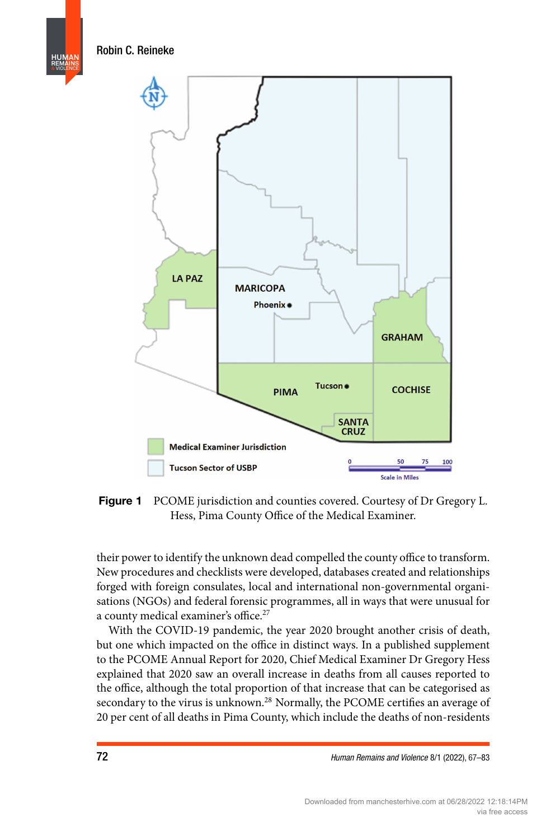



Figure 1 PCOME jurisdiction and counties covered. Courtesy of Dr Gregory L. Hess, Pima County Office of the Medical Examiner.

their power to identify the unknown dead compelled the county office to transform. New procedures and checklists were developed, databases created and relationships forged with foreign consulates, local and international non-governmental organisations (NGOs) and federal forensic programmes, all in ways that were unusual for a county medical examiner's office.<sup>27</sup>

With the COVID-19 pandemic, the year 2020 brought another crisis of death, but one which impacted on the office in distinct ways. In a published supplement to the PCOME Annual Report for 2020, Chief Medical Examiner Dr Gregory Hess explained that 2020 saw an overall increase in deaths from all causes reported to the office, although the total proportion of that increase that can be categorised as secondary to the virus is unknown.<sup>28</sup> Normally, the PCOME certifies an average of 20 per cent of all deaths in Pima County, which include the deaths of non-residents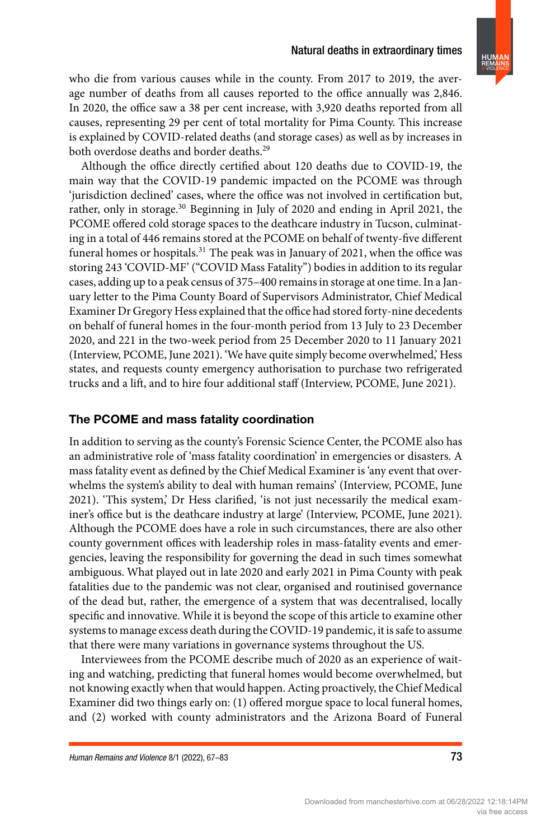

who die from various causes while in the county. From 2017 to 2019, the average number of deaths from all causes reported to the office annually was 2,846. In 2020, the office saw a 38 per cent increase, with 3,920 deaths reported from all causes, representing 29 per cent of total mortality for Pima County. This increase is explained by COVID-related deaths (and storage cases) as well as by increases in both overdose deaths and border deaths.<sup>29</sup>

Although the office directly certified about 120 deaths due to COVID-19, the main way that the COVID-19 pandemic impacted on the PCOME was through 'jurisdiction declined' cases, where the office was not involved in certification but, rather, only in storage.<sup>30</sup> Beginning in July of 2020 and ending in April 2021, the PCOME offered cold storage spaces to the deathcare industry in Tucson, culminating in a total of 446 remains stored at the PCOME on behalf of twenty-five different funeral homes or hospitals.<sup>31</sup> The peak was in January of 2021, when the office was storing 243 'COVID-MF' ("COVID Mass Fatality") bodies in addition to its regular cases, adding up to a peak census of 375–400 remains in storage at one time. In a January letter to the Pima County Board of Supervisors Administrator, Chief Medical Examiner Dr Gregory Hess explained that the office had stored forty-nine decedents on behalf of funeral homes in the four-month period from 13 July to 23 December 2020, and 221 in the two-week period from 25 December 2020 to 11 January 2021 (Interview, PCOME, June 2021). 'We have quite simply become overwhelmed,' Hess states, and requests county emergency authorisation to purchase two refrigerated trucks and a lift, and to hire four additional staff (Interview, PCOME, June 2021).

## The PCOME and mass fatality coordination

In addition to serving as the county's Forensic Science Center, the PCOME also has an administrative role of 'mass fatality coordination' in emergencies or disasters. A mass fatality event as defined by the Chief Medical Examiner is 'any event that overwhelms the system's ability to deal with human remains' (Interview, PCOME, June 2021). 'This system,' Dr Hess clarified, 'is not just necessarily the medical examiner's office but is the deathcare industry at large' (Interview, PCOME, June 2021). Although the PCOME does have a role in such circumstances, there are also other county government offices with leadership roles in mass-fatality events and emergencies, leaving the responsibility for governing the dead in such times somewhat ambiguous. What played out in late 2020 and early 2021 in Pima County with peak fatalities due to the pandemic was not clear, organised and routinised governance of the dead but, rather, the emergence of a system that was decentralised, locally specific and innovative. While it is beyond the scope of this article to examine other systems to manage excess death during the COVID-19 pandemic, it is safe to assume that there were many variations in governance systems throughout the US.

Interviewees from the PCOME describe much of 2020 as an experience of waiting and watching, predicting that funeral homes would become overwhelmed, but not knowing exactly when that would happen. Acting proactively, the Chief Medical Examiner did two things early on: (1) offered morgue space to local funeral homes, and (2) worked with county administrators and the Arizona Board of Funeral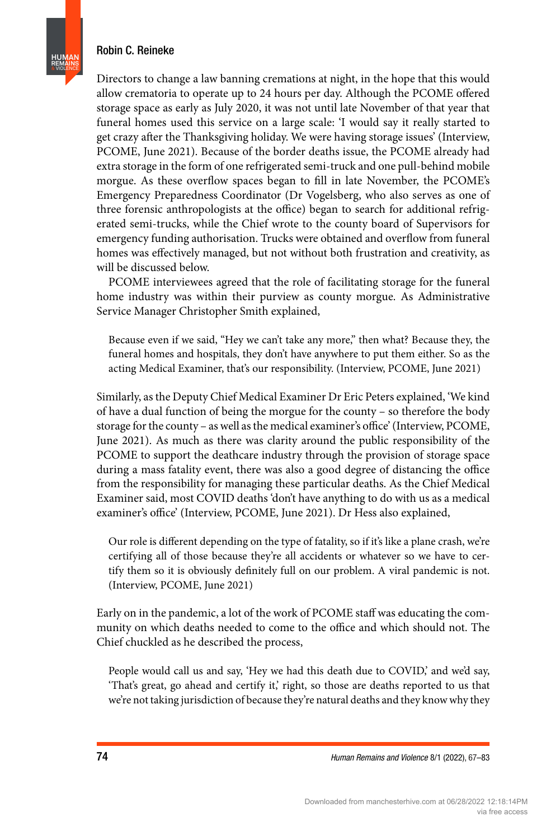

Directors to change a law banning cremations at night, in the hope that this would allow crematoria to operate up to 24 hours per day. Although the PCOME offered storage space as early as July 2020, it was not until late November of that year that funeral homes used this service on a large scale: 'I would say it really started to get crazy after the Thanksgiving holiday. We were having storage issues' (Interview, PCOME, June 2021). Because of the border deaths issue, the PCOME already had extra storage in the form of one refrigerated semi-truck and one pull-behind mobile morgue. As these overflow spaces began to fill in late November, the PCOME's Emergency Preparedness Coordinator (Dr Vogelsberg, who also serves as one of three forensic anthropologists at the office) began to search for additional refrigerated semi-trucks, while the Chief wrote to the county board of Supervisors for emergency funding authorisation. Trucks were obtained and overflow from funeral homes was effectively managed, but not without both frustration and creativity, as will be discussed below.

PCOME interviewees agreed that the role of facilitating storage for the funeral home industry was within their purview as county morgue. As Administrative Service Manager Christopher Smith explained,

Because even if we said, "Hey we can't take any more," then what? Because they, the funeral homes and hospitals, they don't have anywhere to put them either. So as the acting Medical Examiner, that's our responsibility. (Interview, PCOME, June 2021)

Similarly, as the Deputy Chief Medical Examiner Dr Eric Peters explained, 'We kind of have a dual function of being the morgue for the county – so therefore the body storage for the county – as well as the medical examiner's office' (Interview, PCOME, June 2021). As much as there was clarity around the public responsibility of the PCOME to support the deathcare industry through the provision of storage space during a mass fatality event, there was also a good degree of distancing the office from the responsibility for managing these particular deaths. As the Chief Medical Examiner said, most COVID deaths 'don't have anything to do with us as a medical examiner's office' (Interview, PCOME, June 2021). Dr Hess also explained,

Our role is different depending on the type of fatality, so if it's like a plane crash, we're certifying all of those because they're all accidents or whatever so we have to certify them so it is obviously definitely full on our problem. A viral pandemic is not. (Interview, PCOME, June 2021)

Early on in the pandemic, a lot of the work of PCOME staff was educating the community on which deaths needed to come to the office and which should not. The Chief chuckled as he described the process,

People would call us and say, 'Hey we had this death due to COVID', and we'd say, 'That's great, go ahead and certify it,' right, so those are deaths reported to us that we're not taking jurisdiction of because they're natural deaths and they know why they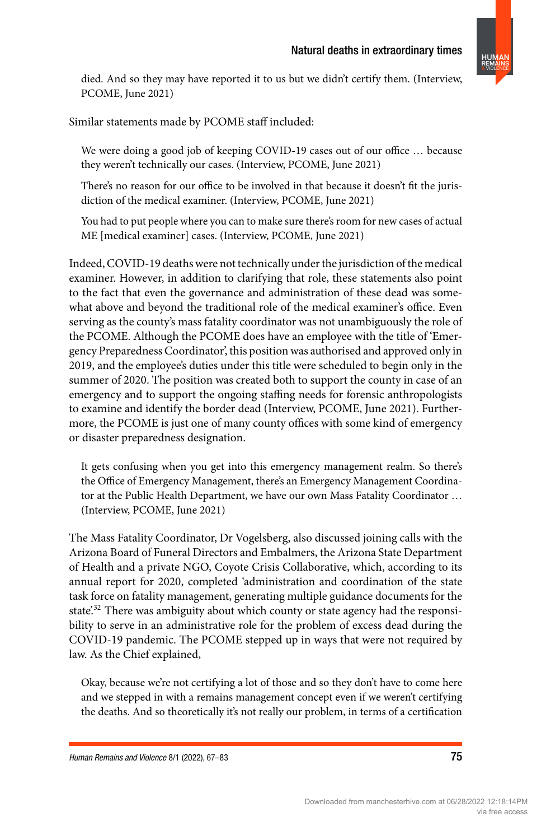

died. And so they may have reported it to us but we didn't certify them. (Interview, PCOME, June 2021)

Similar statements made by PCOME staff included:

We were doing a good job of keeping COVID-19 cases out of our office ... because they weren't technically our cases. (Interview, PCOME, June 2021)

There's no reason for our office to be involved in that because it doesn't fit the jurisdiction of the medical examiner. (Interview, PCOME, June 2021)

You had to put people where you can to make sure there's room for new cases of actual ME [medical examiner] cases. (Interview, PCOME, June 2021)

Indeed, COVID-19 deaths were not technically under the jurisdiction of the medical examiner. However, in addition to clarifying that role, these statements also point to the fact that even the governance and administration of these dead was somewhat above and beyond the traditional role of the medical examiner's office. Even serving as the county's mass fatality coordinator was not unambiguously the role of the PCOME. Although the PCOME does have an employee with the title of 'Emergency Preparedness Coordinator', this position was authorised and approved only in 2019, and the employee's duties under this title were scheduled to begin only in the summer of 2020. The position was created both to support the county in case of an emergency and to support the ongoing staffing needs for forensic anthropologists to examine and identify the border dead (Interview, PCOME, June 2021). Furthermore, the PCOME is just one of many county offices with some kind of emergency or disaster preparedness designation.

It gets confusing when you get into this emergency management realm. So there's the Office of Emergency Management, there's an Emergency Management Coordinator at the Public Health Department, we have our own Mass Fatality Coordinator … (Interview, PCOME, June 2021)

The Mass Fatality Coordinator, Dr Vogelsberg, also discussed joining calls with the Arizona Board of Funeral Directors and Embalmers, the Arizona State Department of Health and a private NGO, Coyote Crisis Collaborative, which, according to its annual report for 2020, completed 'administration and coordination of the state task force on fatality management, generating multiple guidance documents for the state.<sup>32</sup> There was ambiguity about which county or state agency had the responsibility to serve in an administrative role for the problem of excess dead during the COVID-19 pandemic. The PCOME stepped up in ways that were not required by law. As the Chief explained,

Okay, because we're not certifying a lot of those and so they don't have to come here and we stepped in with a remains management concept even if we weren't certifying the deaths. And so theoretically it's not really our problem, in terms of a certification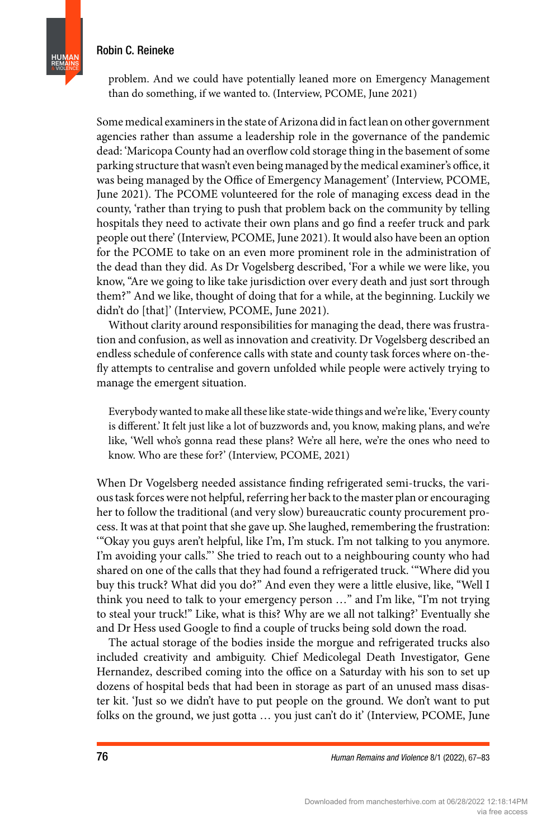

problem. And we could have potentially leaned more on Emergency Management than do something, if we wanted to. (Interview, PCOME, June 2021)

Some medical examiners in the state of Arizona did in fact lean on other government agencies rather than assume a leadership role in the governance of the pandemic dead: 'Maricopa County had an overflow cold storage thing in the basement of some parking structure that wasn't even being managed by the medical examiner's office, it was being managed by the Office of Emergency Management' (Interview, PCOME, June 2021). The PCOME volunteered for the role of managing excess dead in the county, 'rather than trying to push that problem back on the community by telling hospitals they need to activate their own plans and go find a reefer truck and park people out there' (Interview, PCOME, June 2021). It would also have been an option for the PCOME to take on an even more prominent role in the administration of the dead than they did. As Dr Vogelsberg described, 'For a while we were like, you know, "Are we going to like take jurisdiction over every death and just sort through them?" And we like, thought of doing that for a while, at the beginning. Luckily we didn't do [that]' (Interview, PCOME, June 2021).

Without clarity around responsibilities for managing the dead, there was frustration and confusion, as well as innovation and creativity. Dr Vogelsberg described an endless schedule of conference calls with state and county task forces where on-the fly attempts to centralise and govern unfolded while people were actively trying to manage the emergent situation.

Everybody wanted to make all these like state-wide things and we're like, 'Every county is different.' It felt just like a lot of buzzwords and, you know, making plans, and we're like, 'Well who's gonna read these plans? We're all here, we're the ones who need to know. Who are these for?' (Interview, PCOME, 2021)

When Dr Vogelsberg needed assistance finding refrigerated semi-trucks, the various task forces were not helpful, referring her back to the master plan or encouraging her to follow the traditional (and very slow) bureaucratic county procurement process. It was at that point that she gave up. She laughed, remembering the frustration: '"Okay you guys aren't helpful, like I'm, I'm stuck. I'm not talking to you anymore. I'm avoiding your calls."' She tried to reach out to a neighbouring county who had shared on one of the calls that they had found a refrigerated truck. '"Where did you buy this truck? What did you do?" And even they were a little elusive, like, "Well I think you need to talk to your emergency person …" and I'm like, "I'm not trying to steal your truck!" Like, what is this? Why are we all not talking?' Eventually she and Dr Hess used Google to find a couple of trucks being sold down the road.

The actual storage of the bodies inside the morgue and refrigerated trucks also included creativity and ambiguity. Chief Medicolegal Death Investigator, Gene Hernandez, described coming into the office on a Saturday with his son to set up dozens of hospital beds that had been in storage as part of an unused mass disaster kit. 'Just so we didn't have to put people on the ground. We don't want to put folks on the ground, we just gotta … you just can't do it' (Interview, PCOME, June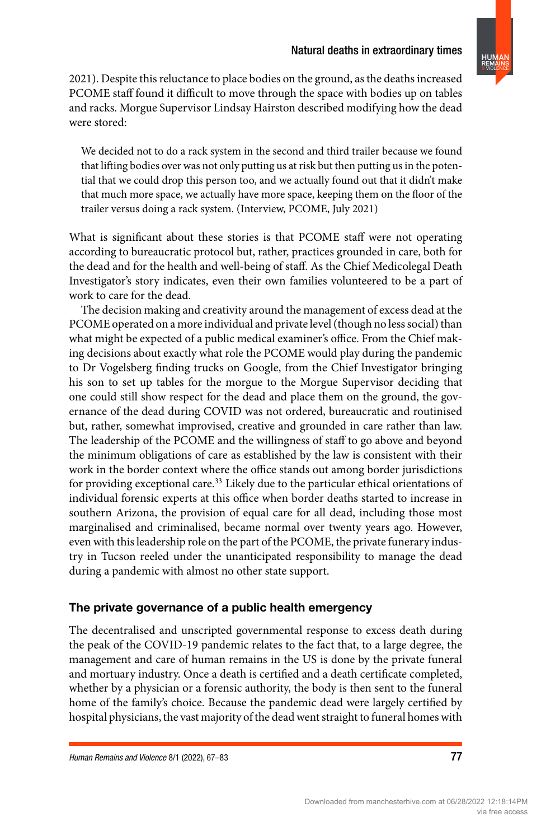

2021). Despite this reluctance to place bodies on the ground, as the deaths increased PCOME staff found it difficult to move through the space with bodies up on tables and racks. Morgue Supervisor Lindsay Hairston described modifying how the dead were stored:

We decided not to do a rack system in the second and third trailer because we found that lifting bodies over was not only putting us at risk but then putting us in the potential that we could drop this person too, and we actually found out that it didn't make that much more space, we actually have more space, keeping them on the floor of the trailer versus doing a rack system. (Interview, PCOME, July 2021)

What is significant about these stories is that PCOME staff were not operating according to bureaucratic protocol but, rather, practices grounded in care, both for the dead and for the health and well-being of staff. As the Chief Medicolegal Death Investigator's story indicates, even their own families volunteered to be a part of work to care for the dead.

The decision making and creativity around the management of excess dead at the PCOME operated on a more individual and private level (though no less social) than what might be expected of a public medical examiner's office. From the Chief making decisions about exactly what role the PCOME would play during the pandemic to Dr Vogelsberg finding trucks on Google, from the Chief Investigator bringing his son to set up tables for the morgue to the Morgue Supervisor deciding that one could still show respect for the dead and place them on the ground, the governance of the dead during COVID was not ordered, bureaucratic and routinised but, rather, somewhat improvised, creative and grounded in care rather than law. The leadership of the PCOME and the willingness of staff to go above and beyond the minimum obligations of care as established by the law is consistent with their work in the border context where the office stands out among border jurisdictions for providing exceptional care.<sup>33</sup> Likely due to the particular ethical orientations of individual forensic experts at this office when border deaths started to increase in southern Arizona, the provision of equal care for all dead, including those most marginalised and criminalised, became normal over twenty years ago. However, even with this leadership role on the part of the PCOME, the private funerary industry in Tucson reeled under the unanticipated responsibility to manage the dead during a pandemic with almost no other state support.

## The private governance of a public health emergency

The decentralised and unscripted governmental response to excess death during the peak of the COVID-19 pandemic relates to the fact that, to a large degree, the management and care of human remains in the US is done by the private funeral and mortuary industry. Once a death is certified and a death certificate completed, whether by a physician or a forensic authority, the body is then sent to the funeral home of the family's choice. Because the pandemic dead were largely certified by hospital physicians, the vast majority of the dead went straight to funeral homes with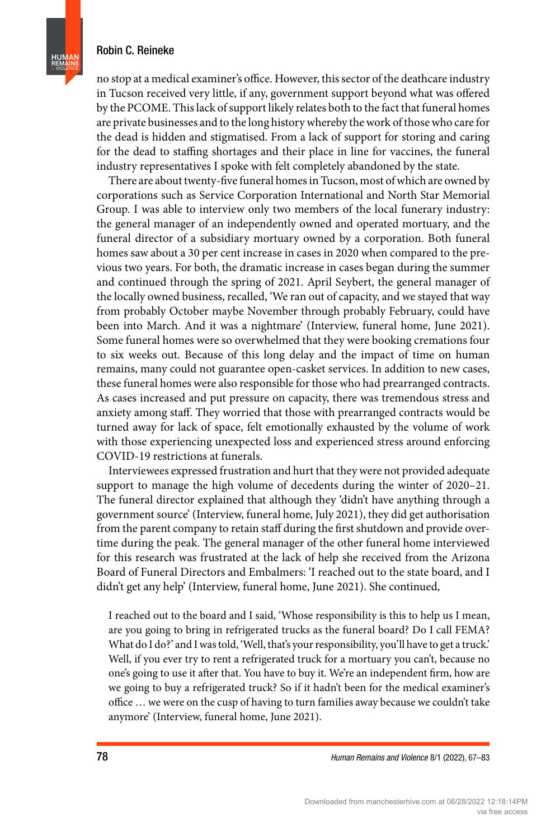

no stop at a medical examiner's office. However, this sector of the deathcare industry in Tucson received very little, if any, government support beyond what was offered by the PCOME. This lack of support likely relates both to the fact that funeral homes are private businesses and to the long history whereby the work of those who care for the dead is hidden and stigmatised. From a lack of support for storing and caring for the dead to staffing shortages and their place in line for vaccines, the funeral industry representatives I spoke with felt completely abandoned by the state.

There are about twenty-five funeral homes in Tucson, most of which are owned by corporations such as Service Corporation International and North Star Memorial Group. I was able to interview only two members of the local funerary industry: the general manager of an independently owned and operated mortuary, and the funeral director of a subsidiary mortuary owned by a corporation. Both funeral homes saw about a 30 per cent increase in cases in 2020 when compared to the previous two years. For both, the dramatic increase in cases began during the summer and continued through the spring of 2021. April Seybert, the general manager of the locally owned business, recalled, 'We ran out of capacity, and we stayed that way from probably October maybe November through probably February, could have been into March. And it was a nightmare' (Interview, funeral home, June 2021). Some funeral homes were so overwhelmed that they were booking cremations four to six weeks out. Because of this long delay and the impact of time on human remains, many could not guarantee open-casket services. In addition to new cases, these funeral homes were also responsible for those who had prearranged contracts. As cases increased and put pressure on capacity, there was tremendous stress and anxiety among staff. They worried that those with prearranged contracts would be turned away for lack of space, felt emotionally exhausted by the volume of work with those experiencing unexpected loss and experienced stress around enforcing COVID-19 restrictions at funerals.

Interviewees expressed frustration and hurt that they were not provided adequate support to manage the high volume of decedents during the winter of 2020–21. The funeral director explained that although they 'didn't have anything through a government source' (Interview, funeral home, July 2021), they did get authorisation from the parent company to retain staff during the first shutdown and provide overtime during the peak. The general manager of the other funeral home interviewed for this research was frustrated at the lack of help she received from the Arizona Board of Funeral Directors and Embalmers: 'I reached out to the state board, and I didn't get any help' (Interview, funeral home, June 2021). She continued,

I reached out to the board and I said, 'Whose responsibility is this to help us I mean, are you going to bring in refrigerated trucks as the funeral board? Do I call FEMA? What do I do?' and I was told, 'Well, that's your responsibility, you'll have to get a truck.' Well, if you ever try to rent a refrigerated truck for a mortuary you can't, because no one's going to use it after that. You have to buy it. We're an independent firm, how are we going to buy a refrigerated truck? So if it hadn't been for the medical examiner's office ... we were on the cusp of having to turn families away because we couldn't take anymore' (Interview, funeral home, June 2021).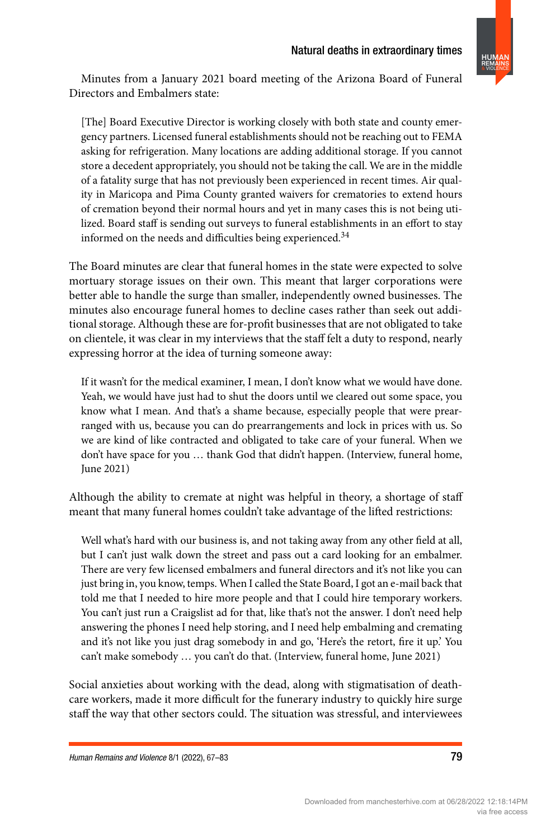

Minutes from a January 2021 board meeting of the Arizona Board of Funeral Directors and Embalmers state:

[The] Board Executive Director is working closely with both state and county emergency partners. Licensed funeral establishments should not be reaching out to FEMA asking for refrigeration. Many locations are adding additional storage. If you cannot store a decedent appropriately, you should not be taking the call. We are in the middle of a fatality surge that has not previously been experienced in recent times. Air quality in Maricopa and Pima County granted waivers for crematories to extend hours of cremation beyond their normal hours and yet in many cases this is not being utilized. Board staff is sending out surveys to funeral establishments in an effort to stay informed on the needs and difficulties being experienced.<sup>34</sup>

The Board minutes are clear that funeral homes in the state were expected to solve mortuary storage issues on their own. This meant that larger corporations were better able to handle the surge than smaller, independently owned businesses. The minutes also encourage funeral homes to decline cases rather than seek out additional storage. Although these are for-profit businesses that are not obligated to take on clientele, it was clear in my interviews that the staff felt a duty to respond, nearly expressing horror at the idea of turning someone away:

If it wasn't for the medical examiner, I mean, I don't know what we would have done. Yeah, we would have just had to shut the doors until we cleared out some space, you know what I mean. And that's a shame because, especially people that were prearranged with us, because you can do prearrangements and lock in prices with us. So we are kind of like contracted and obligated to take care of your funeral. When we don't have space for you … thank God that didn't happen. (Interview, funeral home, June 2021)

Although the ability to cremate at night was helpful in theory, a shortage of sta meant that many funeral homes couldn't take advantage of the lifted restrictions:

Well what's hard with our business is, and not taking away from any other field at all, but I can't just walk down the street and pass out a card looking for an embalmer. There are very few licensed embalmers and funeral directors and it's not like you can just bring in, you know, temps. When I called the State Board, I got an e-mail back that told me that I needed to hire more people and that I could hire temporary workers. You can't just run a Craigslist ad for that, like that's not the answer. I don't need help answering the phones I need help storing, and I need help embalming and cremating and it's not like you just drag somebody in and go, 'Here's the retort, fire it up.' You can't make somebody … you can't do that. (Interview, funeral home, June 2021)

Social anxieties about working with the dead, along with stigmatisation of deathcare workers, made it more difficult for the funerary industry to quickly hire surge staff the way that other sectors could. The situation was stressful, and interviewees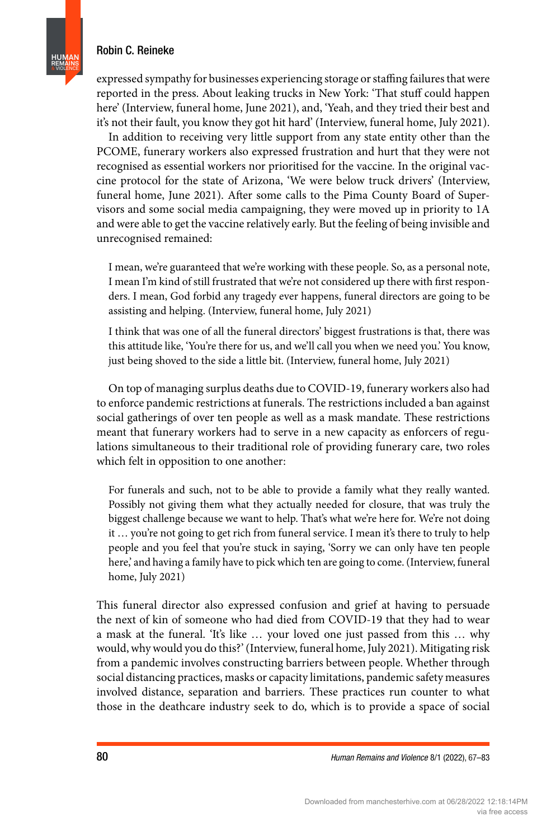

expressed sympathy for businesses experiencing storage or staffing failures that were reported in the press. About leaking trucks in New York: 'That stuff could happen here' (Interview, funeral home, June 2021), and, 'Yeah, and they tried their best and it's not their fault, you know they got hit hard' (Interview, funeral home, July 2021).

In addition to receiving very little support from any state entity other than the PCOME, funerary workers also expressed frustration and hurt that they were not recognised as essential workers nor prioritised for the vaccine. In the original vaccine protocol for the state of Arizona, 'We were below truck drivers' (Interview, funeral home, June 2021). After some calls to the Pima County Board of Supervisors and some social media campaigning, they were moved up in priority to 1A and were able to get the vaccine relatively early. But the feeling of being invisible and unrecognised remained:

I mean, we're guaranteed that we're working with these people. So, as a personal note, I mean I'm kind of still frustrated that we're not considered up there with first responders. I mean, God forbid any tragedy ever happens, funeral directors are going to be assisting and helping. (Interview, funeral home, July 2021)

I think that was one of all the funeral directors' biggest frustrations is that, there was this attitude like, 'You're there for us, and we'll call you when we need you.' You know, just being shoved to the side a little bit. (Interview, funeral home, July 2021)

On top of managing surplus deaths due to COVID-19, funerary workers also had to enforce pandemic restrictions at funerals. The restrictions included a ban against social gatherings of over ten people as well as a mask mandate. These restrictions meant that funerary workers had to serve in a new capacity as enforcers of regulations simultaneous to their traditional role of providing funerary care, two roles which felt in opposition to one another:

For funerals and such, not to be able to provide a family what they really wanted. Possibly not giving them what they actually needed for closure, that was truly the biggest challenge because we want to help. That's what we're here for. We're not doing it … you're not going to get rich from funeral service. I mean it's there to truly to help people and you feel that you're stuck in saying, 'Sorry we can only have ten people here,' and having a family have to pick which ten are going to come. (Interview, funeral home, July 2021)

This funeral director also expressed confusion and grief at having to persuade the next of kin of someone who had died from COVID-19 that they had to wear a mask at the funeral. 'It's like … your loved one just passed from this … why would, why would you do this?' (Interview, funeral home, July 2021). Mitigating risk from a pandemic involves constructing barriers between people. Whether through social distancing practices, masks or capacity limitations, pandemic safety measures involved distance, separation and barriers. These practices run counter to what those in the deathcare industry seek to do, which is to provide a space of social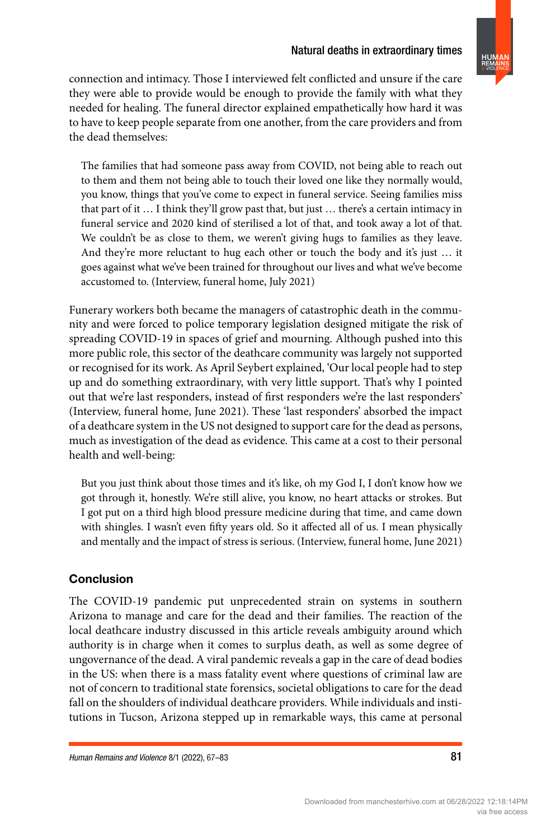

connection and intimacy. Those I interviewed felt conflicted and unsure if the care they were able to provide would be enough to provide the family with what they needed for healing. The funeral director explained empathetically how hard it was to have to keep people separate from one another, from the care providers and from the dead themselves:

The families that had someone pass away from COVID, not being able to reach out to them and them not being able to touch their loved one like they normally would, you know, things that you've come to expect in funeral service. Seeing families miss that part of it … I think they'll grow past that, but just … there's a certain intimacy in funeral service and 2020 kind of sterilised a lot of that, and took away a lot of that. We couldn't be as close to them, we weren't giving hugs to families as they leave. And they're more reluctant to hug each other or touch the body and it's just … it goes against what we've been trained for throughout our lives and what we've become accustomed to. (Interview, funeral home, July 2021)

Funerary workers both became the managers of catastrophic death in the community and were forced to police temporary legislation designed mitigate the risk of spreading COVID-19 in spaces of grief and mourning. Although pushed into this more public role, this sector of the deathcare community was largely not supported or recognised for its work. As April Seybert explained, 'Our local people had to step up and do something extraordinary, with very little support. That's why I pointed out that we're last responders, instead of first responders we're the last responders' (Interview, funeral home, June 2021). These 'last responders' absorbed the impact of a deathcare system in the US not designed to support care for the dead as persons, much as investigation of the dead as evidence. This came at a cost to their personal health and well-being:

But you just think about those times and it's like, oh my God I, I don't know how we got through it, honestly. We're still alive, you know, no heart attacks or strokes. But I got put on a third high blood pressure medicine during that time, and came down with shingles. I wasn't even fifty years old. So it affected all of us. I mean physically and mentally and the impact of stress is serious. (Interview, funeral home, June 2021)

# Conclusion

The COVID-19 pandemic put unprecedented strain on systems in southern Arizona to manage and care for the dead and their families. The reaction of the local deathcare industry discussed in this article reveals ambiguity around which authority is in charge when it comes to surplus death, as well as some degree of ungovernance of the dead. A viral pandemic reveals a gap in the care of dead bodies in the US: when there is a mass fatality event where questions of criminal law are not of concern to traditional state forensics, societal obligations to care for the dead fall on the shoulders of individual deathcare providers. While individuals and institutions in Tucson, Arizona stepped up in remarkable ways, this came at personal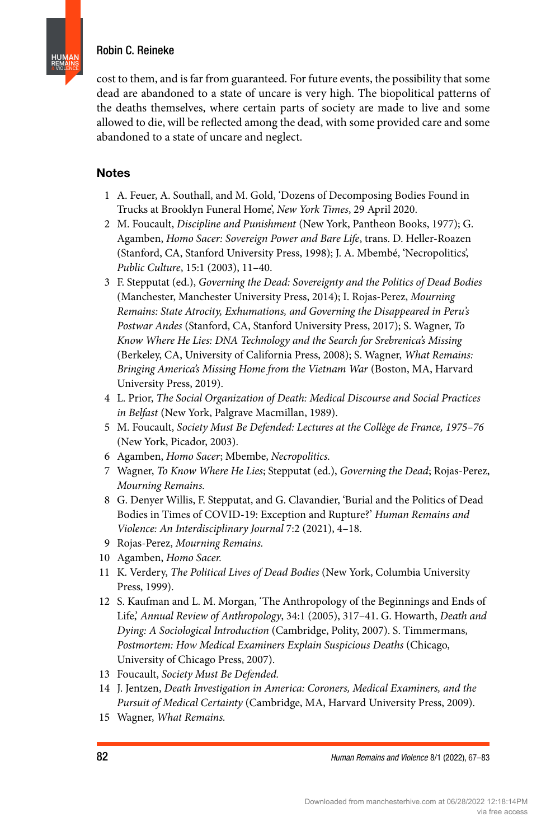

cost to them, and is far from guaranteed. For future events, the possibility that some dead are abandoned to a state of uncare is very high. The biopolitical patterns of the deaths themselves, where certain parts of society are made to live and some allowed to die, will be reflected among the dead, with some provided care and some abandoned to a state of uncare and neglect.

# Notes

- 1 A. Feuer, A. Southall, and M. Gold, 'Dozens of Decomposing Bodies Found in Trucks at Brooklyn Funeral Home', New York Times, 29 April 2020.
- 2 M. Foucault, Discipline and Punishment (New York, Pantheon Books, 1977); G. Agamben, Homo Sacer: Sovereign Power and Bare Life, trans. D. Heller-Roazen (Stanford, CA, Stanford University Press, 1998); J. A. Mbembé, 'Necropolitics', Public Culture, 15:1 (2003), 11–40.
- 3 F. Stepputat (ed.), Governing the Dead: Sovereignty and the Politics of Dead Bodies (Manchester, Manchester University Press, 2014); I. Rojas-Perez, Mourning Remains: State Atrocity, Exhumations, and Governing the Disappeared in Peru's Postwar Andes (Stanford, CA, Stanford University Press, 2017); S. Wagner, To Know Where He Lies: DNA Technology and the Search for Srebrenica's Missing (Berkeley, CA, University of California Press, 2008); S. Wagner, What Remains: Bringing America's Missing Home from the Vietnam War (Boston, MA, Harvard University Press, 2019).
- 4 L. Prior, The Social Organization of Death: Medical Discourse and Social Practices in Belfast (New York, Palgrave Macmillan, 1989).
- 5 M. Foucault, Society Must Be Defended: Lectures at the Collège de France, 1975–76 (New York, Picador, 2003).
- 6 Agamben, Homo Sacer; Mbembe, Necropolitics.
- 7 Wagner, To Know Where He Lies; Stepputat (ed.), Governing the Dead; Rojas-Perez, Mourning Remains.
- 8 G. Denyer Willis, F. Stepputat, and G. Clavandier, 'Burial and the Politics of Dead Bodies in Times of COVID-19: Exception and Rupture?' Human Remains and Violence: An Interdisciplinary Journal 7:2 (2021), 4–18.
- 9 Rojas-Perez, Mourning Remains.
- 10 Agamben, Homo Sacer.
- 11 K. Verdery, The Political Lives of Dead Bodies (New York, Columbia University Press, 1999).
- 12 S. Kaufman and L. M. Morgan, 'The Anthropology of the Beginnings and Ends of Life,' Annual Review of Anthropology, 34:1 (2005), 317–41. G. Howarth, Death and Dying: A Sociological Introduction (Cambridge, Polity, 2007). S. Timmermans, Postmortem: How Medical Examiners Explain Suspicious Deaths (Chicago, University of Chicago Press, 2007).
- 13 Foucault, Society Must Be Defended.
- 14 J. Jentzen, Death Investigation in America: Coroners, Medical Examiners, and the Pursuit of Medical Certainty (Cambridge, MA, Harvard University Press, 2009).
- 15 Wagner, What Remains.